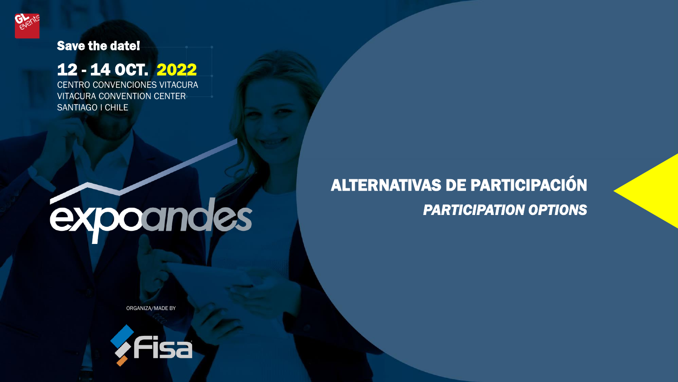

# Save the date!

# 12 - 14 OCT. 2022

CENTRO CONVENCIONES VITACURA VITACURA CONVENTION CENTER SANTIAGO l CHILE

# expoandes

# ALTERNATIVAS DE PARTICIPACIÓN *PARTICIPATION OPTIONS*

ORGANIZA/MADE BY

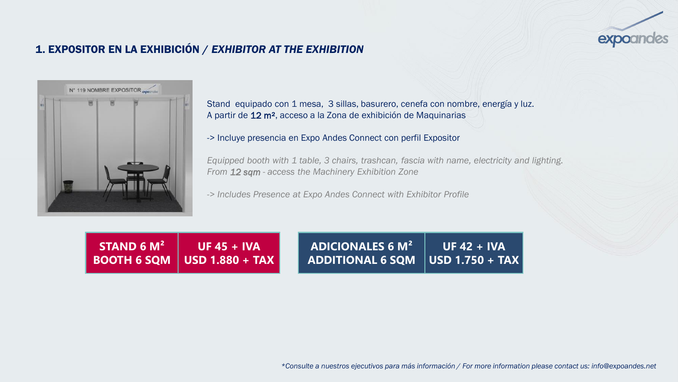

## 1. EXPOSITOR EN LA EXHIBICIÓN / *EXHIBITOR AT THE EXHIBITION*



Stand equipado con 1 mesa, 3 sillas, basurero, cenefa con nombre, energía y luz. A partir de 12 m², acceso a la Zona de exhibición de Maquinarias

-> Incluye presencia en Expo Andes Connect con perfil Expositor

*Equipped booth with 1 table, 3 chairs, trashcan, fascia with name, electricity and lighting. From 12 sqm - access the Machinery Exhibition Zone*

*-> Includes Presence at Expo Andes Connect with Exhibitor Profile*

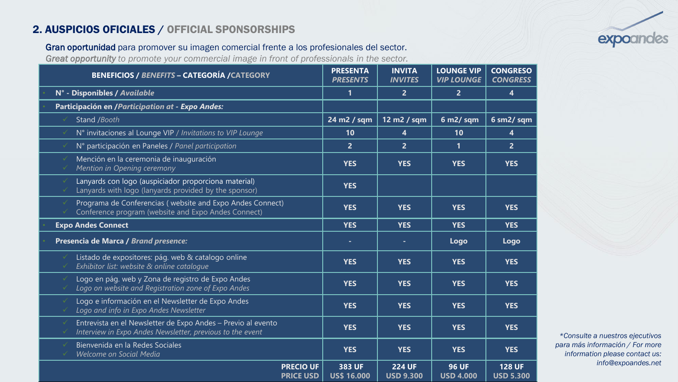### 2. AUSPICIOS OFICIALES / OFFICIAL SPONSORSHIPS

#### Gran oportunidad para promover su imagen comercial frente a los profesionales del sector.

*Great opportunity to promote your commercial image in front of professionals in the sector.*

| <b>BENEFICIOS / BENEFITS - CATEGORÍA / CATEGORY</b>                                                                       | <b>PRESENTA</b><br><b>PRESENTS</b> | <b>INVITA</b><br><b>INVITES</b>   | <b>LOUNGE VIP</b><br><b>VIP LOUNGE</b> | <b>CONGRESO</b><br><b>CONGRESS</b> |
|---------------------------------------------------------------------------------------------------------------------------|------------------------------------|-----------------------------------|----------------------------------------|------------------------------------|
| N° - Disponibles / Available                                                                                              | 1                                  | $\overline{2}$                    | $\overline{2}$                         | $\overline{\mathbf{4}}$            |
| Participación en /Participation at - Expo Andes:                                                                          |                                    |                                   |                                        |                                    |
| Stand /Booth                                                                                                              | 24 m2 / sqm                        | 12 m2 / sqm                       | $6 m2/$ sqm                            | 6 sm2/sqm                          |
| N° invitaciones al Lounge VIP / Invitations to VIP Lounge                                                                 | 10                                 | 4                                 | 10                                     | $\overline{\mathbf{4}}$            |
| N° participación en Paneles / Panel participation                                                                         | $\overline{2}$                     | $\overline{2}$                    | $\mathbf{1}$                           | $\overline{2}$                     |
| Mención en la ceremonia de inauguración<br>Mention in Opening ceremony                                                    | <b>YES</b>                         | <b>YES</b>                        | <b>YES</b>                             | <b>YES</b>                         |
| Lanyards con logo (auspiciador proporciona material)<br>Lanyards with logo (lanyards provided by the sponsor)             | <b>YES</b>                         |                                   |                                        |                                    |
| Programa de Conferencias (website and Expo Andes Connect)<br>Conference program (website and Expo Andes Connect)          | <b>YES</b>                         | <b>YES</b>                        | <b>YES</b>                             | <b>YES</b>                         |
| <b>Expo Andes Connect</b>                                                                                                 | <b>YES</b>                         | <b>YES</b>                        | <b>YES</b>                             | <b>YES</b>                         |
| Presencia de Marca / Brand presence:                                                                                      | ٠                                  | ٠                                 | Logo                                   | Logo                               |
| Listado de expositores: pág. web & catalogo online<br>Exhibitor list: website & online catalogue                          | <b>YES</b>                         | <b>YES</b>                        | <b>YES</b>                             | <b>YES</b>                         |
| Logo en pág. web y Zona de registro de Expo Andes<br>Logo on website and Registration zone of Expo Andes                  | <b>YES</b>                         | <b>YES</b>                        | <b>YES</b>                             | <b>YES</b>                         |
| Logo e información en el Newsletter de Expo Andes<br>Logo and info in Expo Andes Newsletter                               | <b>YES</b>                         | <b>YES</b>                        | <b>YES</b>                             | <b>YES</b>                         |
| Entrevista en el Newsletter de Expo Andes - Previo al evento<br>Interview in Expo Andes Newsletter, previous to the event | <b>YES</b>                         | <b>YES</b>                        | <b>YES</b>                             | <b>YES</b>                         |
| Bienvenida en la Redes Sociales<br>Welcome on Social Media                                                                | <b>YES</b>                         | <b>YES</b>                        | <b>YES</b>                             | <b>YES</b>                         |
| <b>PRECIO UF</b><br><b>PRICE USD</b>                                                                                      | 383 UF<br><b>US\$ 16.000</b>       | <b>224 UF</b><br><b>USD 9.300</b> | <b>96 UF</b><br><b>USD 4.000</b>       | <b>128 UF</b><br><b>USD 5.300</b>  |

*\*Consulte a nuestros ejecutivos para más información / For more information please contact us: info@expoandes.net*

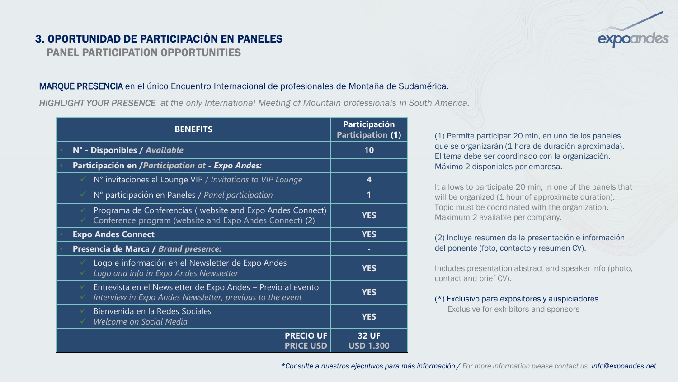# 3. OPORTUNIDAD DE PARTICIPACIÓN EN PANELES

PANEL PARTICIPATION OPPORTUNITIES

#### MARQUE PRESENCIA en el único Encuentro Internacional de profesionales de Montaña de Sudamérica.

*HIGHLIGHT YOUR PRESENCE at the only International Meeting of Mountain professionals in South America.*

| <b>BENEFITS</b>                                                                                                                     | Participación<br><b>Participation (1)</b> |  |
|-------------------------------------------------------------------------------------------------------------------------------------|-------------------------------------------|--|
| N° - Disponibles / Available                                                                                                        | 10                                        |  |
| Participación en /Participation at - Expo Andes:                                                                                    |                                           |  |
| N° invitaciones al Lounge VIP / Invitations to VIP Lounge                                                                           | 4                                         |  |
| N° participación en Paneles / Panel participation<br>✓                                                                              | 1                                         |  |
| Programa de Conferencias (website and Expo Andes Connect)<br>✓<br>Conference program (website and Expo Andes Connect) (2)           | <b>YES</b>                                |  |
| <b>Expo Andes Connect</b>                                                                                                           | <b>YES</b>                                |  |
| Presencia de Marca / Brand presence:                                                                                                | ۰                                         |  |
| Logo e información en el Newsletter de Expo Andes<br>Logo and info in Expo Andes Newsletter                                         | <b>YES</b>                                |  |
| Entrevista en el Newsletter de Expo Andes - Previo al evento<br>✓<br>Interview in Expo Andes Newsletter, previous to the event<br>✓ | <b>YES</b>                                |  |
| Bienvenida en la Redes Sociales<br>✓<br>Welcome on Social Media                                                                     | <b>YES</b>                                |  |
| <b>PRECIO UF</b><br><b>PRICE USD</b>                                                                                                | <b>32 UF</b><br><b>USD 1.300</b>          |  |

(1) Permite participar 20 min, en uno de los paneles que se organizarán (1 hora de duración aproximada). El tema debe ser coordinado con la organización. Máximo 2 disponibles por empresa.

It allows to participate 20 min, in one of the panels that will be organized (1 hour of approximate duration). Topic must be coordinated with the organization. Maximum 2 available per company.

#### (2) Incluye resumen de la presentación e información del ponente (foto, contacto y resumen CV).

Includes presentation abstract and speaker info (photo, contact and brief CV).

(\*) Exclusivo para expositores y auspiciadores Exclusive for exhibitors and sponsors